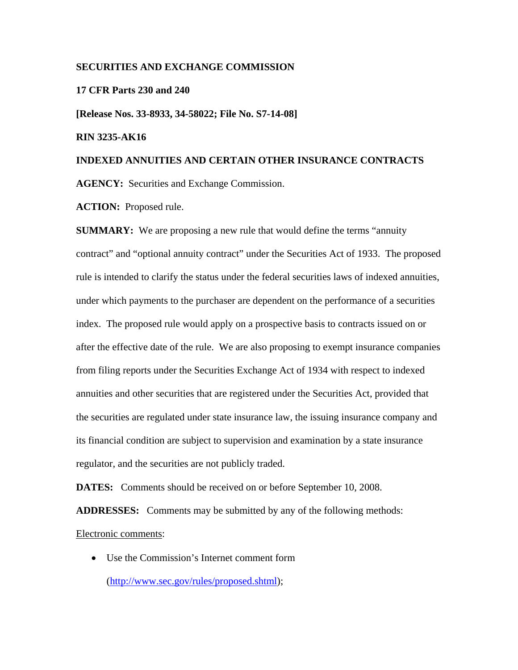## **SECURITIES AND EXCHANGE COMMISSION**

## **17 CFR Parts 230 and 240**

**[Release Nos. 33-8933, 34-58022; File No. S7-14-08]** 

## **RIN 3235-AK16**

## **INDEXED ANNUITIES AND CERTAIN OTHER INSURANCE CONTRACTS**

**AGENCY:** Securities and Exchange Commission.

**ACTION:** Proposed rule.

**SUMMARY:** We are proposing a new rule that would define the terms "annuity" contract" and "optional annuity contract" under the Securities Act of 1933. The proposed rule is intended to clarify the status under the federal securities laws of indexed annuities, under which payments to the purchaser are dependent on the performance of a securities index. The proposed rule would apply on a prospective basis to contracts issued on or after the effective date of the rule. We are also proposing to exempt insurance companies from filing reports under the Securities Exchange Act of 1934 with respect to indexed annuities and other securities that are registered under the Securities Act, provided that the securities are regulated under state insurance law, the issuing insurance company and its financial condition are subject to supervision and examination by a state insurance regulator, and the securities are not publicly traded.

**DATES:** Comments should be received on or before September 10, 2008.

**ADDRESSES:** Comments may be submitted by any of the following methods:

Electronic comments:

• Use the Commission's Internet comment form (http://www.sec.gov/rules/proposed.shtml);